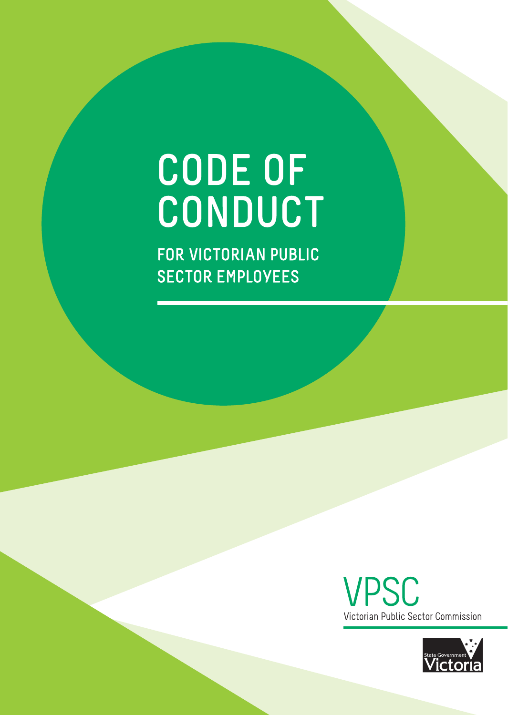# **CODE OF** CONDUCT

FOR VICTORIAN PUBLIC **SECTOR EMPLOYEES** 



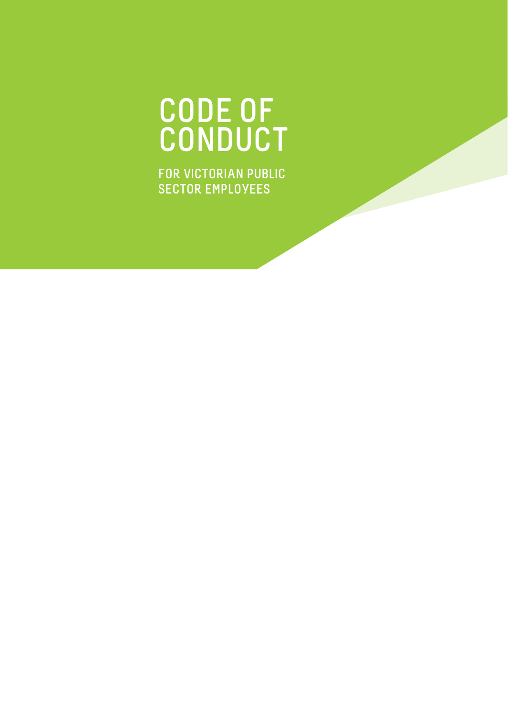### **CODE OF CONDUCT**

**FOR VICTORIAN PUBLIC SECTOR EMPLOYEES**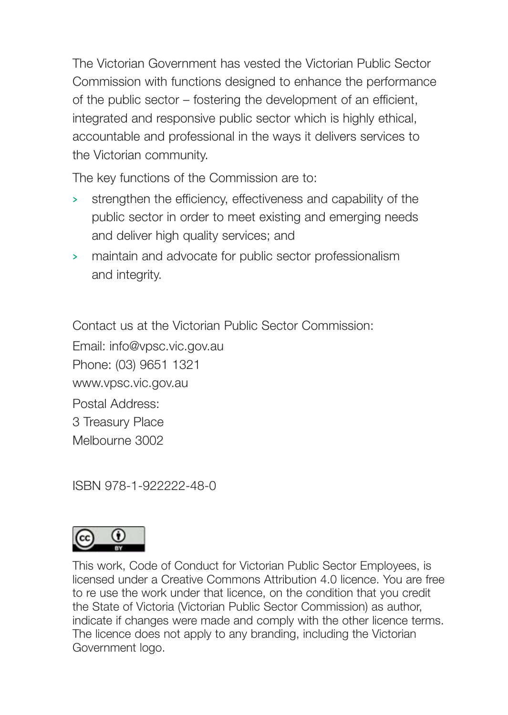The Victorian Government has vested the Victorian Public Sector Commission with functions designed to enhance the performance of the public sector – fostering the development of an efficient, integrated and responsive public sector which is highly ethical, accountable and professional in the ways it delivers services to the Victorian community.

The key functions of the Commission are to:

- **>** strengthen the efficiency, effectiveness and capability of the public sector in order to meet existing and emerging needs and deliver high quality services; and
- **>** maintain and advocate for public sector professionalism and integrity.

Contact us at the Victorian Public Sector Commission:

Email: info@vpsc.vic.gov.au Phone: (03) 9651 1321 www.vpsc.vic.gov.au Postal Address: 3 Treasury Place Melbourne 3002

ISBN 978-1-922222-48-0



This work, Code of Conduct for Victorian Public Sector Employees, is licensed under a Creative Commons Attribution 4.0 licence. You are free to re use the work under that licence, on the condition that you credit the State of Victoria (Victorian Public Sector Commission) as author, indicate if changes were made and comply with the other licence terms. The licence does not apply to any branding, including the Victorian Government logo.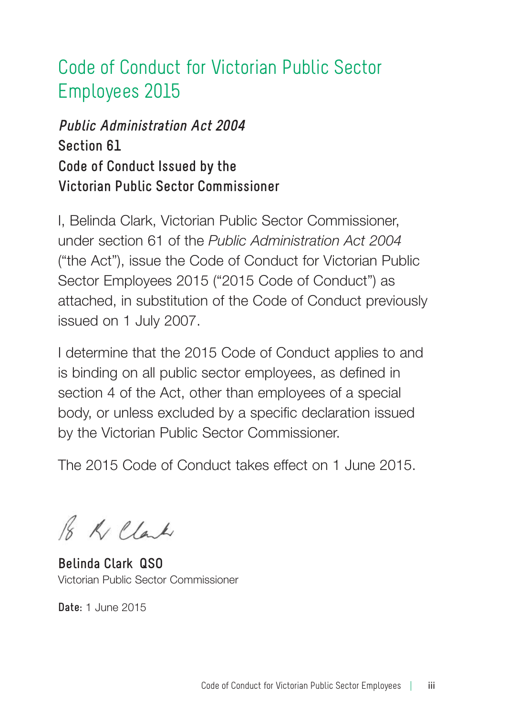### Code of Conduct for Victorian Public Sector Employees 2015

#### **Public Administration Act 2004 Section 61 Code of Conduct Issued by the Victorian Public Sector Commissioner**

I, Belinda Clark, Victorian Public Sector Commissioner, under section 61 of the *Public Administration Act 2004* ("the Act"), issue the Code of Conduct for Victorian Public Sector Employees 2015 ("2015 Code of Conduct") as attached, in substitution of the Code of Conduct previously issued on 1 July 2007.

I determine that the 2015 Code of Conduct applies to and is binding on all public sector employees, as defined in section 4 of the Act, other than employees of a special body, or unless excluded by a specific declaration issued by the Victorian Public Sector Commissioner.

The 2015 Code of Conduct takes effect on 1 June 2015.

B Killak

**Belinda Clark QSO** Victorian Public Sector Commissioner

**Date:** 1 June 2015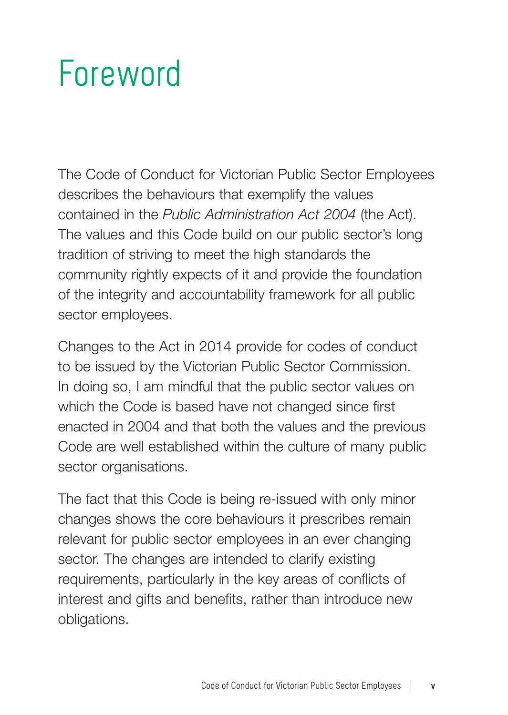### **Foreword**

The Code of Conduct for Victorian Public Sector Employees describes the behaviours that exemplify the values contained in the *Public Administration Act 2004* (the Act). The values and this Code build on our public sector's long tradition of striving to meet the high standards the community rightly expects of it and provide the foundation of the integrity and accountability framework for all public sector employees.

Changes to the Act in 2014 provide for codes of conduct to be issued by the Victorian Public Sector Commission. In doing so, I am mindful that the public sector values on which the Code is based have not changed since first enacted in 2004 and that both the values and the previous Code are well established within the culture of many public sector organisations.

The fact that this Code is being re-issued with only minor changes shows the core behaviours it prescribes remain relevant for public sector employees in an ever changing sector. The changes are intended to clarify existing requirements, particularly in the key areas of conflicts of interest and gifts and benefits, rather than introduce new obligations.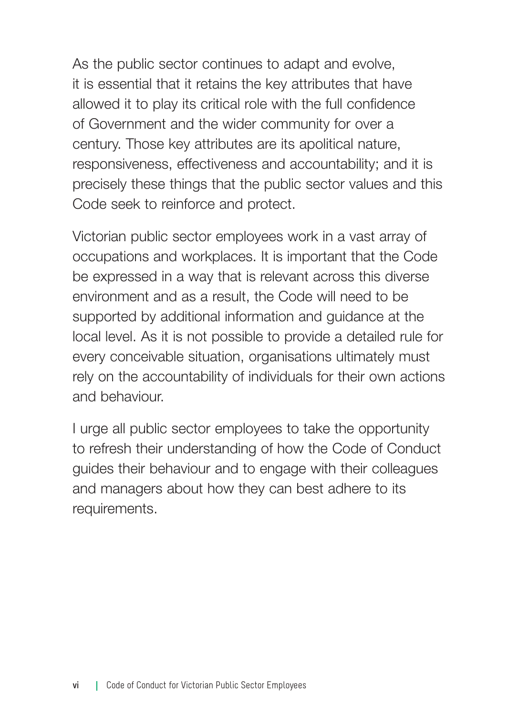As the public sector continues to adapt and evolve, it is essential that it retains the key attributes that have allowed it to play its critical role with the full confidence of Government and the wider community for over a century. Those key attributes are its apolitical nature, responsiveness, effectiveness and accountability; and it is precisely these things that the public sector values and this Code seek to reinforce and protect.

Victorian public sector employees work in a vast array of occupations and workplaces. It is important that the Code be expressed in a way that is relevant across this diverse environment and as a result, the Code will need to be supported by additional information and guidance at the local level. As it is not possible to provide a detailed rule for every conceivable situation, organisations ultimately must rely on the accountability of individuals for their own actions and behaviour.

I urge all public sector employees to take the opportunity to refresh their understanding of how the Code of Conduct guides their behaviour and to engage with their colleagues and managers about how they can best adhere to its requirements.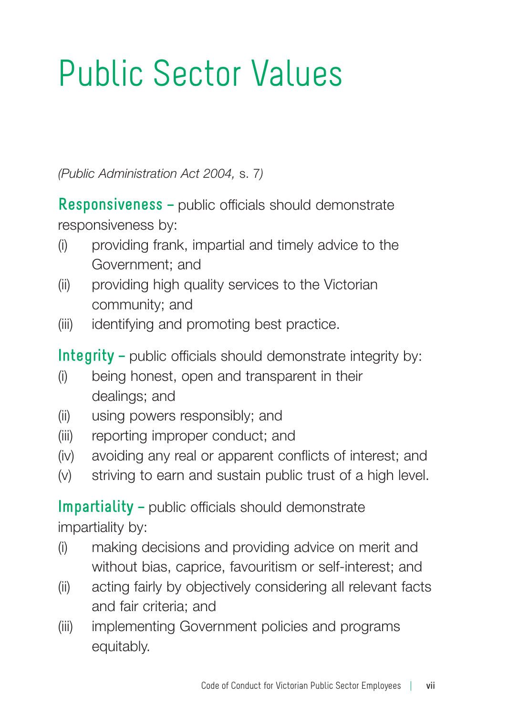### Public Sector Values

*(Public Administration Act 2004,* s. 7*)*

**Responsiveness –** public officials should demonstrate responsiveness by:

- (i) providing frank, impartial and timely advice to the Government; and
- (ii) providing high quality services to the Victorian community; and
- (iii) identifying and promoting best practice.

**Integrity –** public officials should demonstrate integrity by:

- (i) being honest, open and transparent in their dealings; and
- (ii) using powers responsibly; and
- (iii) reporting improper conduct; and
- (iv) avoiding any real or apparent conflicts of interest; and
- (v) striving to earn and sustain public trust of a high level.

**Impartiality –** public officials should demonstrate impartiality by:

- (i) making decisions and providing advice on merit and without bias, caprice, favouritism or self-interest; and
- (ii) acting fairly by objectively considering all relevant facts and fair criteria; and
- (iii) implementing Government policies and programs equitably.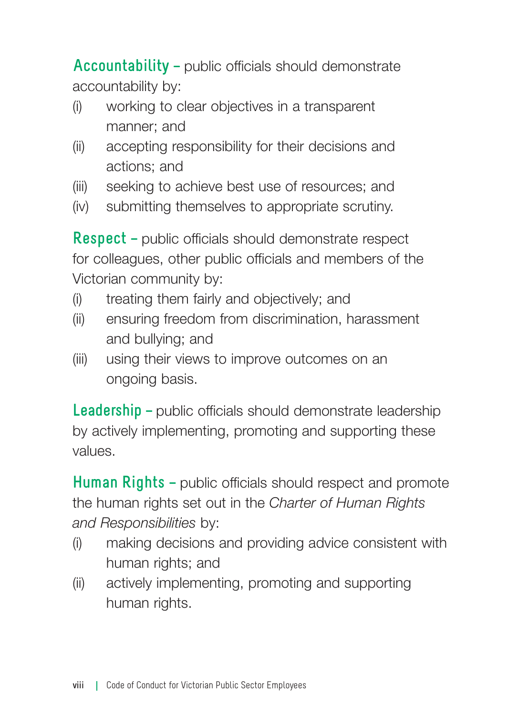**Accountability –** public officials should demonstrate accountability by:

- (i) working to clear objectives in a transparent manner; and
- (ii) accepting responsibility for their decisions and actions; and
- (iii) seeking to achieve best use of resources; and
- (iv) submitting themselves to appropriate scrutiny.

**Respect –** public officials should demonstrate respect for colleagues, other public officials and members of the Victorian community by:

- (i) treating them fairly and objectively; and
- (ii) ensuring freedom from discrimination, harassment and bullying; and
- (iii) using their views to improve outcomes on an ongoing basis.

**Leadership –** public officials should demonstrate leadership by actively implementing, promoting and supporting these values.

**Human Rights –** public officials should respect and promote the human rights set out in the *Charter of Human Rights and Responsibilities* by:

- (i) making decisions and providing advice consistent with human rights; and
- (ii) actively implementing, promoting and supporting human rights.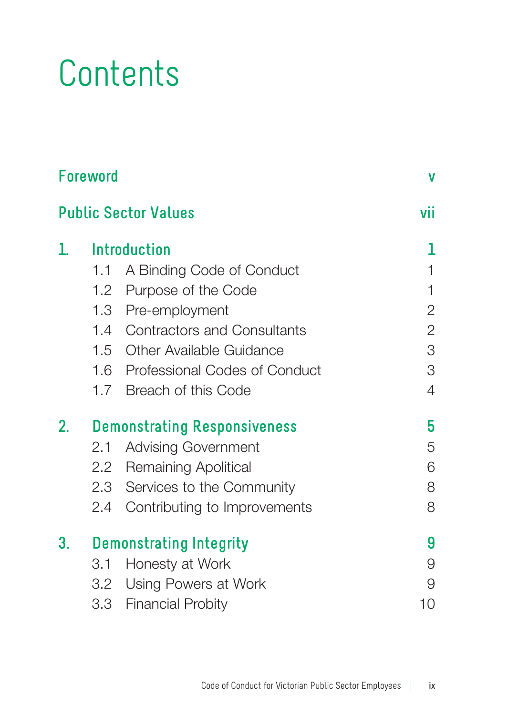### **Contents**

| <b>Foreword</b>             | V                                   |                                   |                |
|-----------------------------|-------------------------------------|-----------------------------------|----------------|
| <b>Public Sector Values</b> | vii                                 |                                   |                |
| ı.                          | Introduction                        | 1                                 |                |
|                             |                                     | 1.1 A Binding Code of Conduct     | 1              |
|                             |                                     | 1.2 Purpose of the Code           | 1              |
|                             |                                     | 1.3 Pre-employment                | $\overline{c}$ |
|                             |                                     | 1.4 Contractors and Consultants   | $\overline{c}$ |
|                             |                                     | 1.5 Other Available Guidance      | 3              |
|                             |                                     | 1.6 Professional Codes of Conduct | 3              |
|                             |                                     | 1.7 Breach of this Code           | $\overline{4}$ |
| 2.                          | <b>Demonstrating Responsiveness</b> | 5                                 |                |
|                             |                                     | 2.1 Advising Government           | 5              |
|                             |                                     | 2.2 Remaining Apolitical          | 6              |
|                             |                                     | 2.3 Services to the Community     | 8              |
|                             |                                     | 2.4 Contributing to Improvements  | 8              |
| 3.                          | <b>Demonstrating Integrity</b>      | 9                                 |                |
|                             | 3.1                                 | Honesty at Work                   | 9              |
|                             |                                     | 3.2 Using Powers at Work          | 9              |
|                             |                                     | 3.3 Financial Probity             | 10             |
|                             |                                     |                                   |                |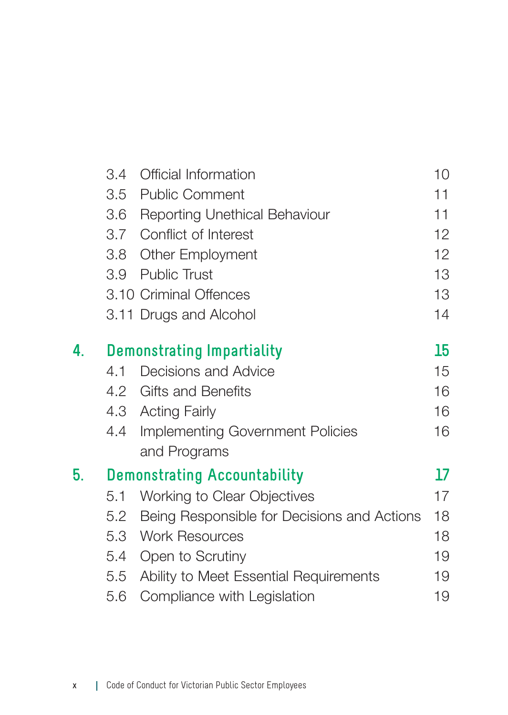|    | 3.4                               | Official Information                        | 10                |
|----|-----------------------------------|---------------------------------------------|-------------------|
|    |                                   | 3.5 Public Comment                          | 11                |
|    |                                   | 3.6 Reporting Unethical Behaviour           | 11                |
|    |                                   | 3.7 Conflict of Interest                    | 12                |
|    |                                   | 3.8 Other Employment                        | $12 \overline{ }$ |
|    |                                   | 3.9 Public Trust                            | 13                |
|    |                                   | 3.10 Criminal Offences                      | 13                |
|    |                                   | 3.11 Drugs and Alcohol                      | 14                |
| 4. | <b>Demonstrating Impartiality</b> |                                             |                   |
|    | 4.1                               | Decisions and Advice                        | 15                |
|    |                                   | 4.2 Gifts and Benefits                      | 16                |
|    |                                   | 4.3 Acting Fairly                           | 16                |
|    |                                   | 4.4 Implementing Government Policies        | 16                |
|    |                                   | and Programs                                |                   |
| 5. |                                   | <b>Demonstrating Accountability</b>         | 17                |
|    | 5.1                               | Working to Clear Objectives                 | 17                |
|    | 5.2                               | Being Responsible for Decisions and Actions | 18                |
|    |                                   | 5.3 Work Resources                          | 18                |
|    |                                   | 5.4 Open to Scrutiny                        | 19                |
|    |                                   | 5.5 Ability to Meet Essential Requirements  | 19                |
|    | 5.6                               | Compliance with Legislation                 | 19                |
|    |                                   |                                             |                   |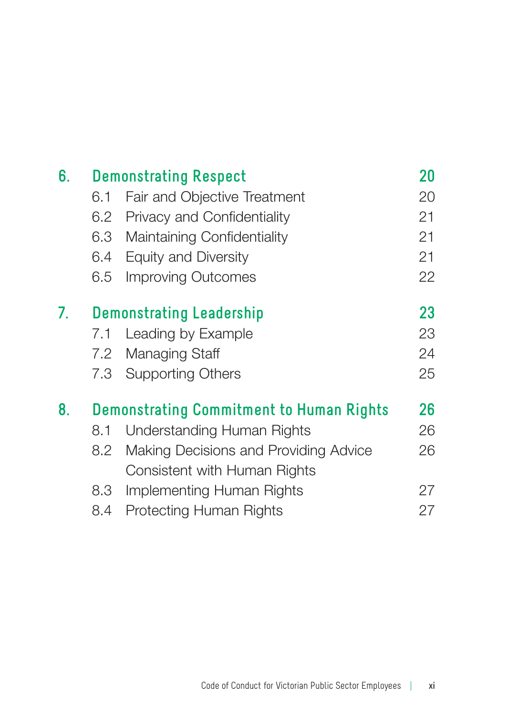| <b>Demonstrating Respect</b>             |                                       |                                                                              |
|------------------------------------------|---------------------------------------|------------------------------------------------------------------------------|
| 6.1                                      | Fair and Objective Treatment          | 20                                                                           |
| 6.2                                      |                                       | 21                                                                           |
| 6.3                                      | Maintaining Confidentiality           | 21                                                                           |
| 6.4                                      |                                       | 21                                                                           |
| 6.5                                      | Improving Outcomes                    | 22                                                                           |
| <b>Demonstrating Leadership</b>          |                                       | 23                                                                           |
| 7.1                                      | Leading by Example                    | 23                                                                           |
| 7.2                                      |                                       | 24                                                                           |
|                                          | Supporting Others                     | 25                                                                           |
| Demonstrating Commitment to Human Rights |                                       | 26                                                                           |
| 8.1                                      | Understanding Human Rights            | 26                                                                           |
| 8.2                                      | Making Decisions and Providing Advice | 26                                                                           |
|                                          | Consistent with Human Rights          |                                                                              |
| 8.3                                      | Implementing Human Rights             | 27                                                                           |
| 8.4                                      | Protecting Human Rights               | 27                                                                           |
|                                          |                                       | Privacy and Confidentiality<br>Equity and Diversity<br>Managing Staff<br>7.3 |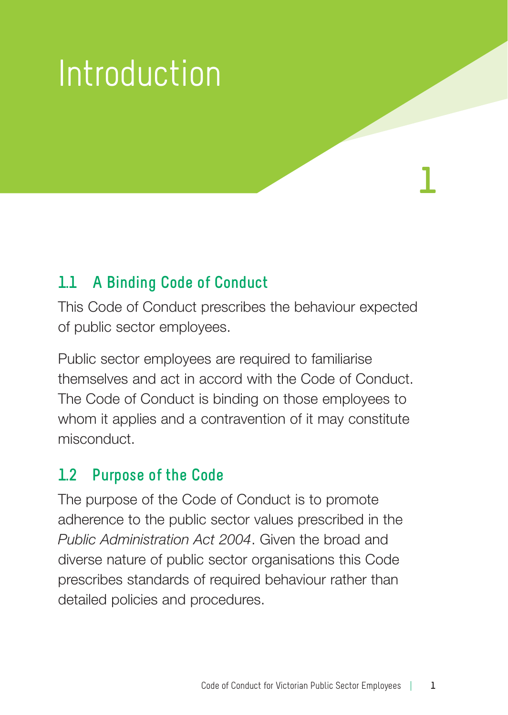## Introduction

### **1.1 A Binding Code of Conduct**

This Code of Conduct prescribes the behaviour expected of public sector employees.

Public sector employees are required to familiarise themselves and act in accord with the Code of Conduct. The Code of Conduct is binding on those employees to whom it applies and a contravention of it may constitute misconduct.

#### **1.2 Purpose of the Code**

The purpose of the Code of Conduct is to promote adherence to the public sector values prescribed in the *Public Administration Act 2004*. Given the broad and diverse nature of public sector organisations this Code prescribes standards of required behaviour rather than detailed policies and procedures.

**1**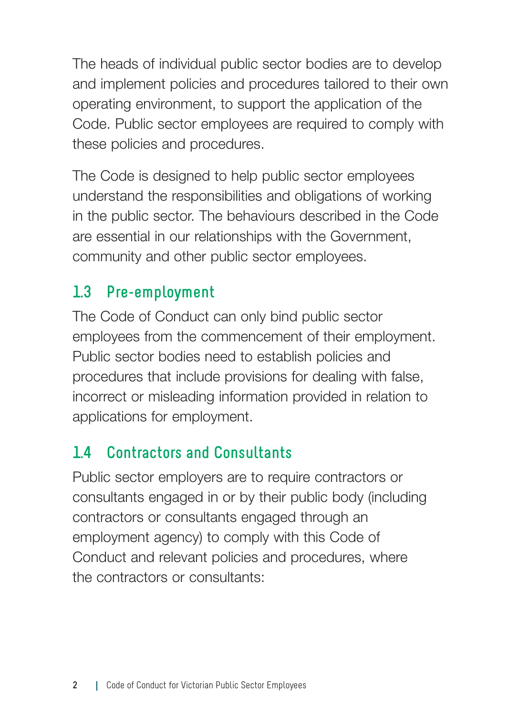The heads of individual public sector bodies are to develop and implement policies and procedures tailored to their own operating environment, to support the application of the Code. Public sector employees are required to comply with these policies and procedures.

The Code is designed to help public sector employees understand the responsibilities and obligations of working in the public sector. The behaviours described in the Code are essential in our relationships with the Government, community and other public sector employees.

### **1.3 Pre-employment**

The Code of Conduct can only bind public sector employees from the commencement of their employment. Public sector bodies need to establish policies and procedures that include provisions for dealing with false, incorrect or misleading information provided in relation to applications for employment.

### **1.4 Contractors and Consultants**

Public sector employers are to require contractors or consultants engaged in or by their public body (including contractors or consultants engaged through an employment agency) to comply with this Code of Conduct and relevant policies and procedures, where the contractors or consultants: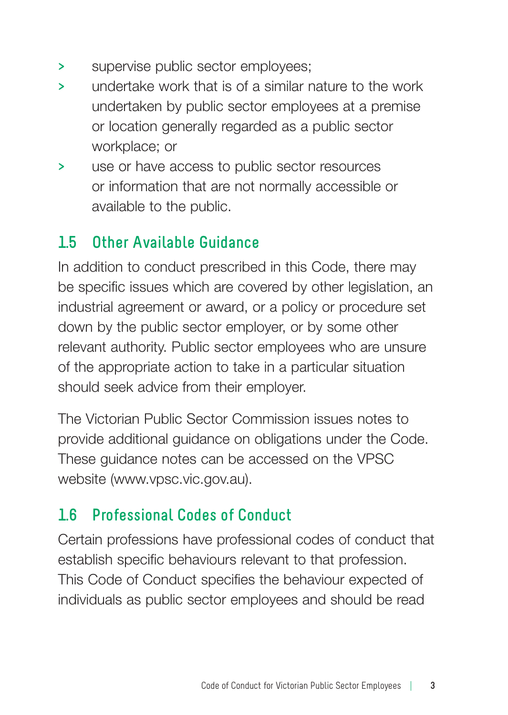- **>** supervise public sector employees;
- **>** undertake work that is of a similar nature to the work undertaken by public sector employees at a premise or location generally regarded as a public sector workplace; or
- **>** use or have access to public sector resources or information that are not normally accessible or available to the public.

### **1.5 Other Available Guidance**

In addition to conduct prescribed in this Code, there may be specific issues which are covered by other legislation, an industrial agreement or award, or a policy or procedure set down by the public sector employer, or by some other relevant authority. Public sector employees who are unsure of the appropriate action to take in a particular situation should seek advice from their employer.

The Victorian Public Sector Commission issues notes to provide additional guidance on obligations under the Code. These guidance notes can be accessed on the VPSC website (www.vpsc.vic.gov.au).

### **1.6 Professional Codes of Conduct**

Certain professions have professional codes of conduct that establish specific behaviours relevant to that profession. This Code of Conduct specifies the behaviour expected of individuals as public sector employees and should be read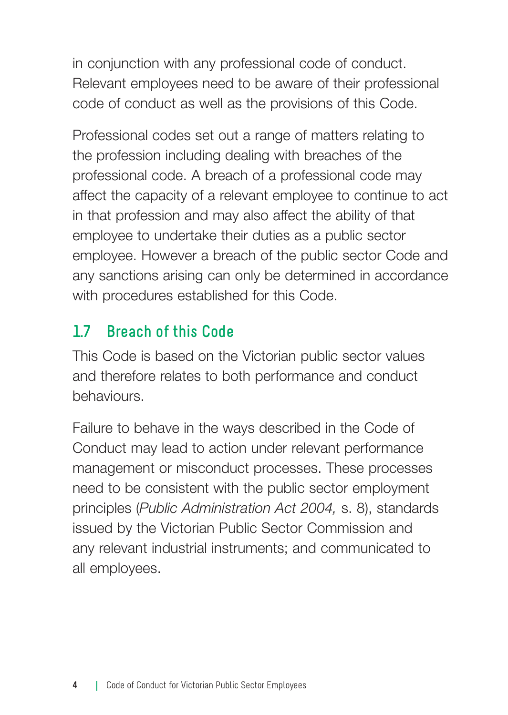in conjunction with any professional code of conduct. Relevant employees need to be aware of their professional code of conduct as well as the provisions of this Code.

Professional codes set out a range of matters relating to the profession including dealing with breaches of the professional code. A breach of a professional code may affect the capacity of a relevant employee to continue to act in that profession and may also affect the ability of that employee to undertake their duties as a public sector employee. However a breach of the public sector Code and any sanctions arising can only be determined in accordance with procedures established for this Code.

### **1.7 Breach of this Code**

This Code is based on the Victorian public sector values and therefore relates to both performance and conduct behaviours.

Failure to behave in the ways described in the Code of Conduct may lead to action under relevant performance management or misconduct processes. These processes need to be consistent with the public sector employment principles (*Public Administration Act 2004,* s. 8), standards issued by the Victorian Public Sector Commission and any relevant industrial instruments; and communicated to all employees.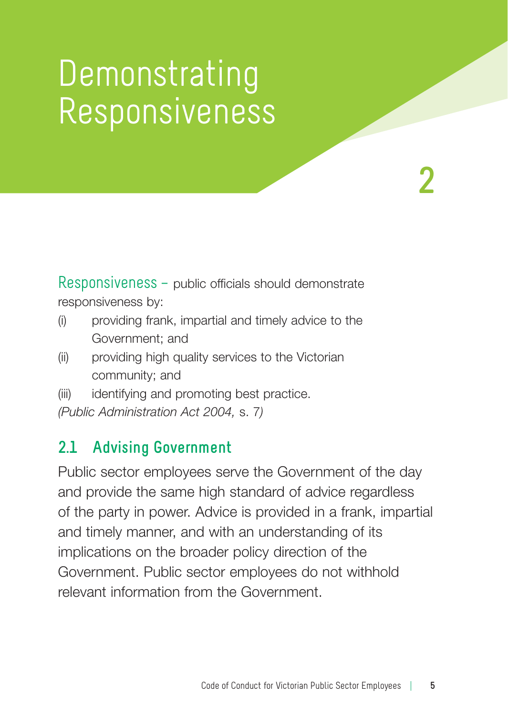### Demonstrating Responsiveness

**2**

Responsiveness – public officials should demonstrate responsiveness by:

- (i) providing frank, impartial and timely advice to the Government; and
- (ii) providing high quality services to the Victorian community; and
- (iii) identifying and promoting best practice.

*(Public Administration Act 2004,* s. 7*)*

### **2.1 Advising Government**

Public sector employees serve the Government of the day and provide the same high standard of advice regardless of the party in power. Advice is provided in a frank, impartial and timely manner, and with an understanding of its implications on the broader policy direction of the Government. Public sector employees do not withhold relevant information from the Government.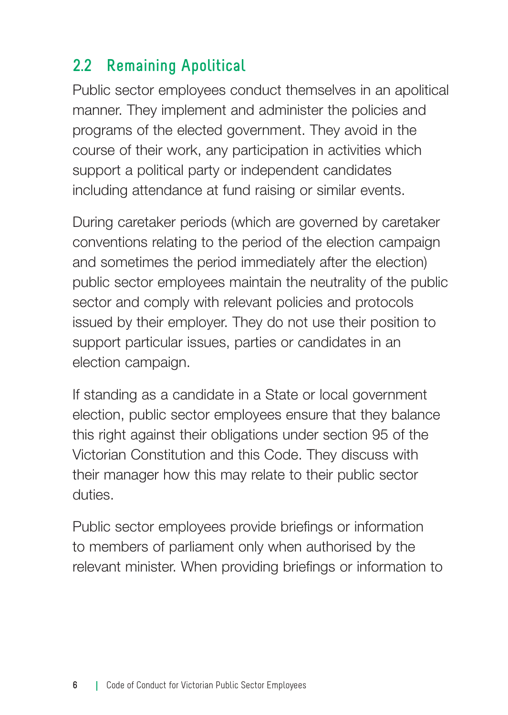### **2.2 Remaining Apolitical**

Public sector employees conduct themselves in an apolitical manner. They implement and administer the policies and programs of the elected government. They avoid in the course of their work, any participation in activities which support a political party or independent candidates including attendance at fund raising or similar events.

During caretaker periods (which are governed by caretaker conventions relating to the period of the election campaign and sometimes the period immediately after the election) public sector employees maintain the neutrality of the public sector and comply with relevant policies and protocols issued by their employer. They do not use their position to support particular issues, parties or candidates in an election campaign.

If standing as a candidate in a State or local government election, public sector employees ensure that they balance this right against their obligations under section 95 of the Victorian Constitution and this Code. They discuss with their manager how this may relate to their public sector duties.

Public sector employees provide briefings or information to members of parliament only when authorised by the relevant minister. When providing briefings or information to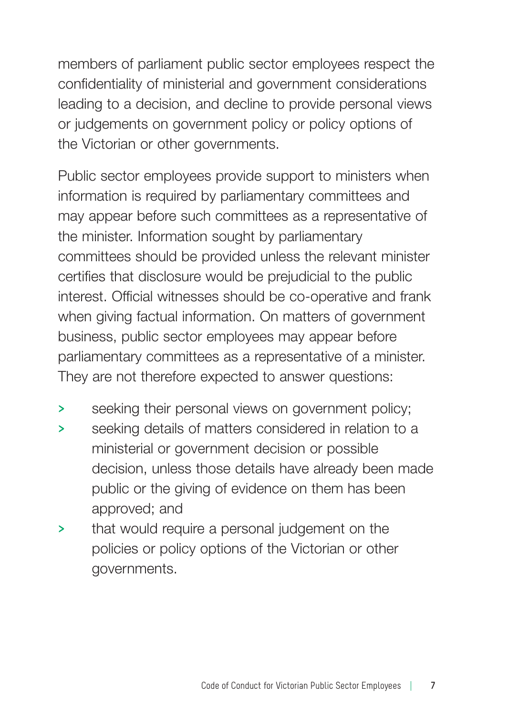members of parliament public sector employees respect the confidentiality of ministerial and government considerations leading to a decision, and decline to provide personal views or judgements on government policy or policy options of the Victorian or other governments.

Public sector employees provide support to ministers when information is required by parliamentary committees and may appear before such committees as a representative of the minister. Information sought by parliamentary committees should be provided unless the relevant minister certifies that disclosure would be prejudicial to the public interest. Official witnesses should be co-operative and frank when giving factual information. On matters of government business, public sector employees may appear before parliamentary committees as a representative of a minister. They are not therefore expected to answer questions:

- **>** seeking their personal views on government policy;
- **>** seeking details of matters considered in relation to a ministerial or government decision or possible decision, unless those details have already been made public or the giving of evidence on them has been approved; and
- **>** that would require a personal judgement on the policies or policy options of the Victorian or other governments.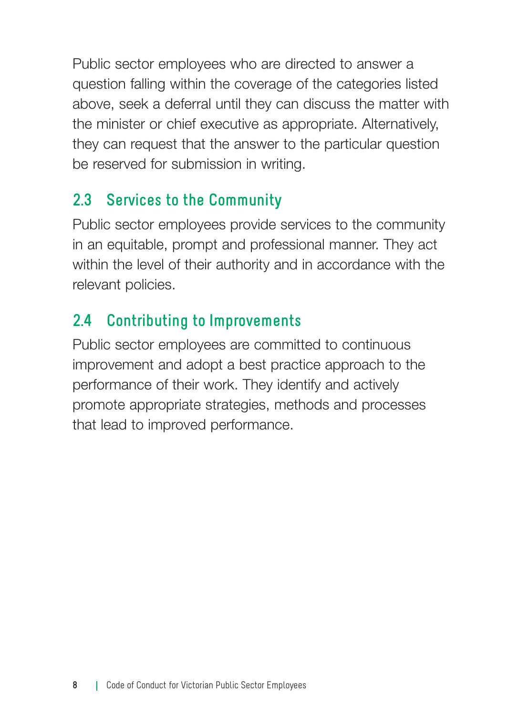Public sector employees who are directed to answer a question falling within the coverage of the categories listed above, seek a deferral until they can discuss the matter with the minister or chief executive as appropriate. Alternatively, they can request that the answer to the particular question be reserved for submission in writing.

### **2.3 Services to the Community**

Public sector employees provide services to the community in an equitable, prompt and professional manner. They act within the level of their authority and in accordance with the relevant policies.

### **2.4 Contributing to Improvements**

Public sector employees are committed to continuous improvement and adopt a best practice approach to the performance of their work. They identify and actively promote appropriate strategies, methods and processes that lead to improved performance.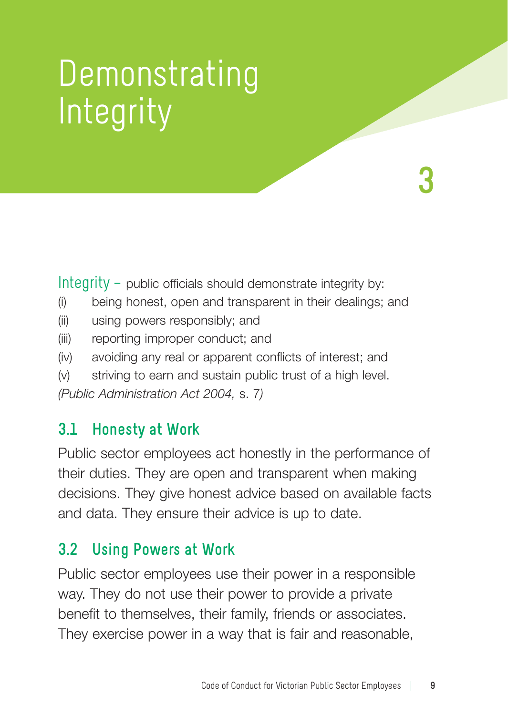## Demonstrating **Integrity**

Integrity – public officials should demonstrate integrity by:

- (i) being honest, open and transparent in their dealings; and
- (ii) using powers responsibly; and
- (iii) reporting improper conduct; and
- (iv) avoiding any real or apparent conflicts of interest; and
- (v) striving to earn and sustain public trust of a high level.

*(Public Administration Act 2004,* s. 7*)*

#### **3.1 Honesty at Work**

Public sector employees act honestly in the performance of their duties. They are open and transparent when making decisions. They give honest advice based on available facts and data. They ensure their advice is up to date.

#### **3.2 Using Powers at Work**

Public sector employees use their power in a responsible way. They do not use their power to provide a private benefit to themselves, their family, friends or associates. They exercise power in a way that is fair and reasonable,

**3**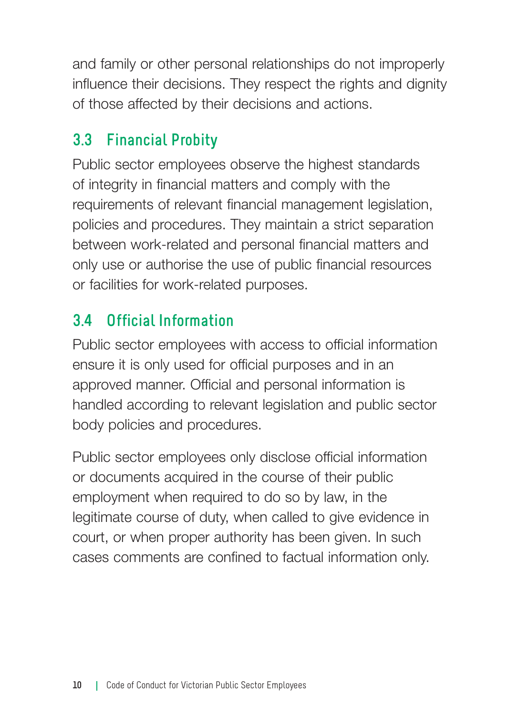and family or other personal relationships do not improperly influence their decisions. They respect the rights and dignity of those affected by their decisions and actions.

### **3.3 Financial Probity**

Public sector employees observe the highest standards of integrity in financial matters and comply with the requirements of relevant financial management legislation, policies and procedures. They maintain a strict separation between work-related and personal financial matters and only use or authorise the use of public financial resources or facilities for work-related purposes.

### **3.4 Official Information**

Public sector employees with access to official information ensure it is only used for official purposes and in an approved manner. Official and personal information is handled according to relevant legislation and public sector body policies and procedures.

Public sector employees only disclose official information or documents acquired in the course of their public employment when required to do so by law, in the legitimate course of duty, when called to give evidence in court, or when proper authority has been given. In such cases comments are confined to factual information only.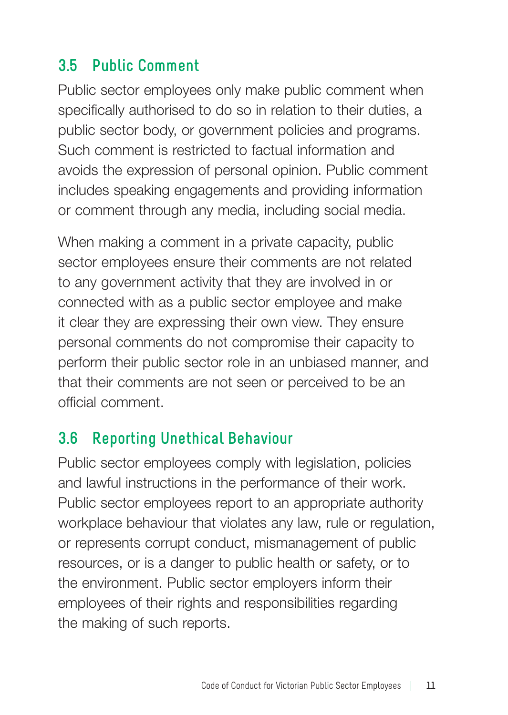### **3.5 Public Comment**

Public sector employees only make public comment when specifically authorised to do so in relation to their duties, a public sector body, or government policies and programs. Such comment is restricted to factual information and avoids the expression of personal opinion. Public comment includes speaking engagements and providing information or comment through any media, including social media.

When making a comment in a private capacity, public sector employees ensure their comments are not related to any government activity that they are involved in or connected with as a public sector employee and make it clear they are expressing their own view. They ensure personal comments do not compromise their capacity to perform their public sector role in an unbiased manner, and that their comments are not seen or perceived to be an official comment.

### **3.6 Reporting Unethical Behaviour**

Public sector employees comply with legislation, policies and lawful instructions in the performance of their work. Public sector employees report to an appropriate authority workplace behaviour that violates any law, rule or regulation, or represents corrupt conduct, mismanagement of public resources, or is a danger to public health or safety, or to the environment. Public sector employers inform their employees of their rights and responsibilities regarding the making of such reports.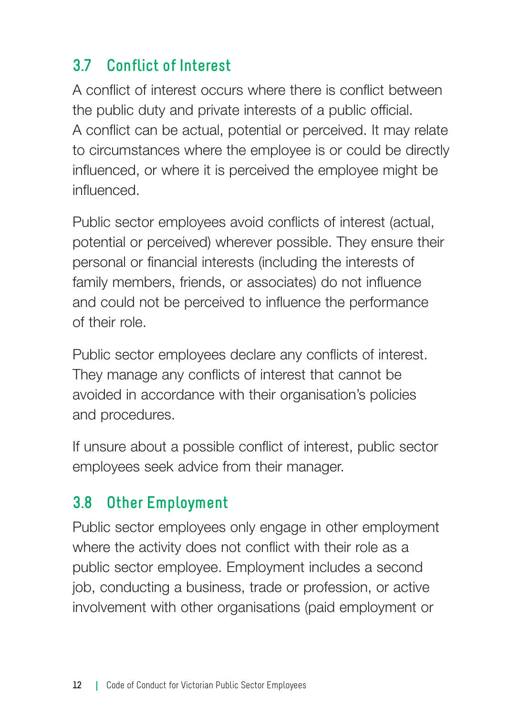### **3.7 Conflict of Interest**

A conflict of interest occurs where there is conflict between the public duty and private interests of a public official. A conflict can be actual, potential or perceived. It may relate to circumstances where the employee is or could be directly influenced, or where it is perceived the employee might be influenced.

Public sector employees avoid conflicts of interest (actual, potential or perceived) wherever possible. They ensure their personal or financial interests (including the interests of family members, friends, or associates) do not influence and could not be perceived to influence the performance of their role.

Public sector employees declare any conflicts of interest. They manage any conflicts of interest that cannot be avoided in accordance with their organisation's policies and procedures.

If unsure about a possible conflict of interest, public sector employees seek advice from their manager.

### **3.8 Other Employment**

Public sector employees only engage in other employment where the activity does not conflict with their role as a public sector employee. Employment includes a second job, conducting a business, trade or profession, or active involvement with other organisations (paid employment or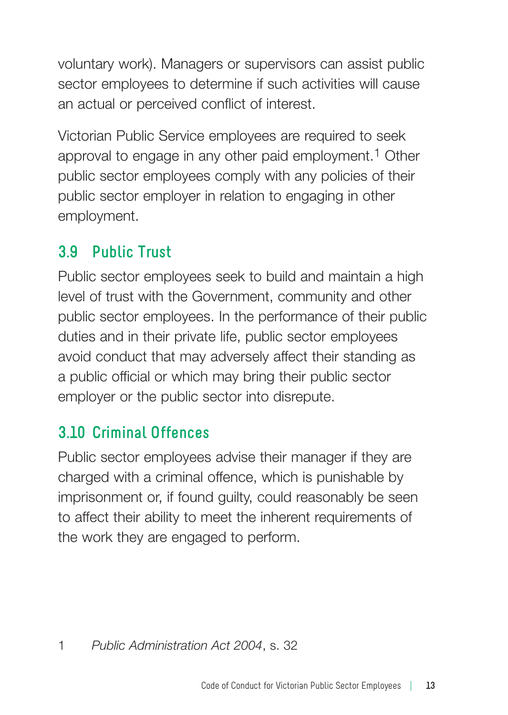voluntary work). Managers or supervisors can assist public sector employees to determine if such activities will cause an actual or perceived conflict of interest.

Victorian Public Service employees are required to seek approval to engage in any other paid employment.<sup>1</sup> Other public sector employees comply with any policies of their public sector employer in relation to engaging in other employment.

### **3.9 Public Trust**

Public sector employees seek to build and maintain a high level of trust with the Government, community and other public sector employees. In the performance of their public duties and in their private life, public sector employees avoid conduct that may adversely affect their standing as a public official or which may bring their public sector employer or the public sector into disrepute.

### **3.10 Criminal Offences**

Public sector employees advise their manager if they are charged with a criminal offence, which is punishable by imprisonment or, if found guilty, could reasonably be seen to affect their ability to meet the inherent requirements of the work they are engaged to perform.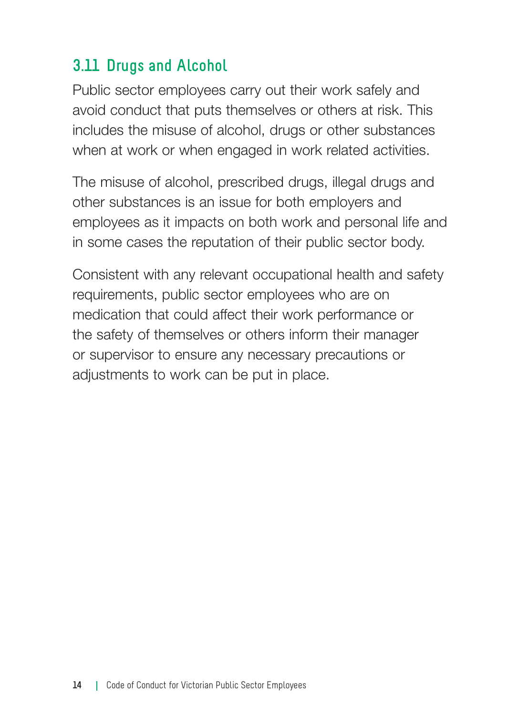### **3.11 Drugs and Alcohol**

Public sector employees carry out their work safely and avoid conduct that puts themselves or others at risk. This includes the misuse of alcohol, drugs or other substances when at work or when engaged in work related activities.

The misuse of alcohol, prescribed drugs, illegal drugs and other substances is an issue for both employers and employees as it impacts on both work and personal life and in some cases the reputation of their public sector body.

Consistent with any relevant occupational health and safety requirements, public sector employees who are on medication that could affect their work performance or the safety of themselves or others inform their manager or supervisor to ensure any necessary precautions or adjustments to work can be put in place.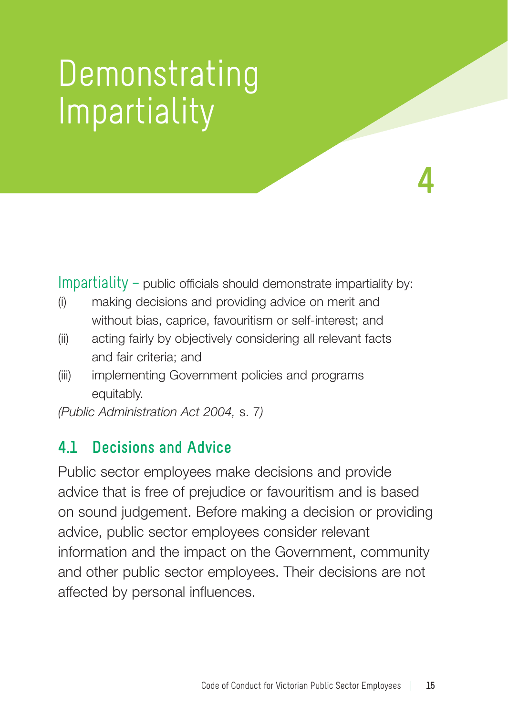### Demonstrating **Impartiality**

Impartiality – public officials should demonstrate impartiality by:

**4**

- (i) making decisions and providing advice on merit and without bias, caprice, favouritism or self-interest; and
- (ii) acting fairly by objectively considering all relevant facts and fair criteria; and
- (iii) implementing Government policies and programs equitably.

*(Public Administration Act 2004,* s. 7*)*

#### **4.1 Decisions and Advice**

Public sector employees make decisions and provide advice that is free of prejudice or favouritism and is based on sound judgement. Before making a decision or providing advice, public sector employees consider relevant information and the impact on the Government, community and other public sector employees. Their decisions are not affected by personal influences.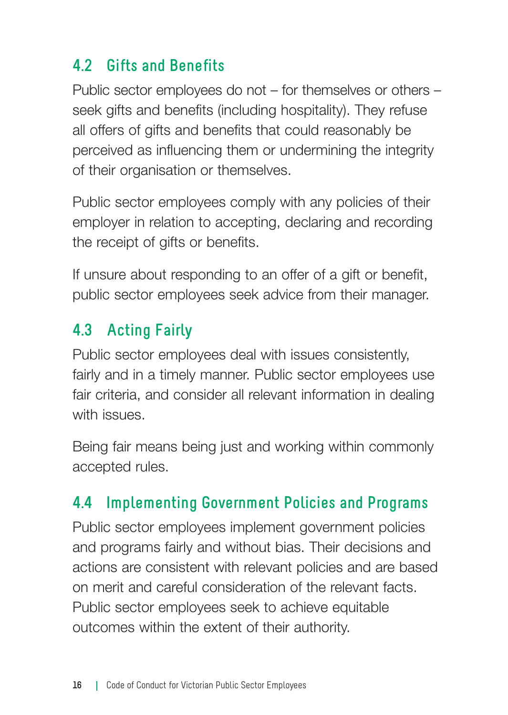### **4.2 Gifts and Benefits**

Public sector employees do not – for themselves or others – seek gifts and benefits (including hospitality). They refuse all offers of gifts and benefits that could reasonably be perceived as influencing them or undermining the integrity of their organisation or themselves.

Public sector employees comply with any policies of their employer in relation to accepting, declaring and recording the receipt of gifts or benefits.

If unsure about responding to an offer of a gift or benefit, public sector employees seek advice from their manager.

### **4.3 Acting Fairly**

Public sector employees deal with issues consistently, fairly and in a timely manner. Public sector employees use fair criteria, and consider all relevant information in dealing with issues.

Being fair means being just and working within commonly accepted rules.

### **4.4 Implementing Government Policies and Programs**

Public sector employees implement government policies and programs fairly and without bias. Their decisions and actions are consistent with relevant policies and are based on merit and careful consideration of the relevant facts. Public sector employees seek to achieve equitable outcomes within the extent of their authority.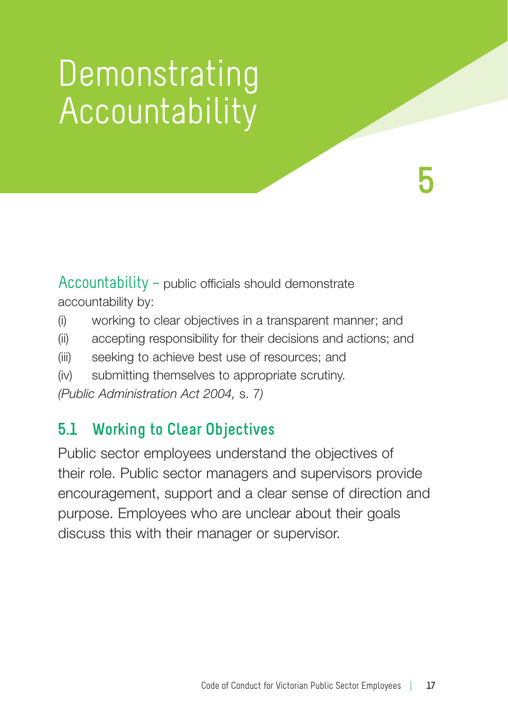### **Demonstrating** Accountability

**5**

Accountability – public officials should demonstrate accountability by:

- (i) working to clear objectives in a transparent manner; and
- (ii) accepting responsibility for their decisions and actions; and
- (iii) seeking to achieve best use of resources; and
- (iv) submitting themselves to appropriate scrutiny.

*(Public Administration Act 2004,* s. 7*)*

### **5.1 Working to Clear Objectives**

Public sector employees understand the objectives of their role. Public sector managers and supervisors provide encouragement, support and a clear sense of direction and purpose. Employees who are unclear about their goals discuss this with their manager or supervisor.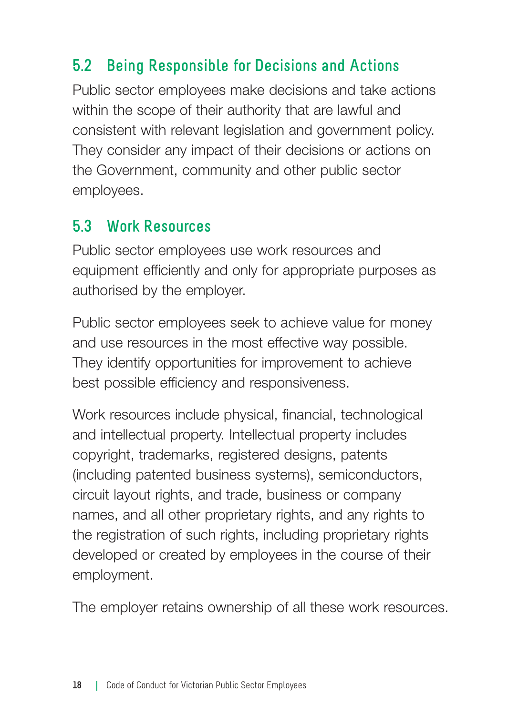### **5.2 Being Responsible for Decisions and Actions**

Public sector employees make decisions and take actions within the scope of their authority that are lawful and consistent with relevant legislation and government policy. They consider any impact of their decisions or actions on the Government, community and other public sector employees.

#### **5.3 Work Resources**

Public sector employees use work resources and equipment efficiently and only for appropriate purposes as authorised by the employer.

Public sector employees seek to achieve value for money and use resources in the most effective way possible. They identify opportunities for improvement to achieve best possible efficiency and responsiveness.

Work resources include physical, financial, technological and intellectual property. Intellectual property includes copyright, trademarks, registered designs, patents (including patented business systems), semiconductors, circuit layout rights, and trade, business or company names, and all other proprietary rights, and any rights to the registration of such rights, including proprietary rights developed or created by employees in the course of their employment.

The employer retains ownership of all these work resources.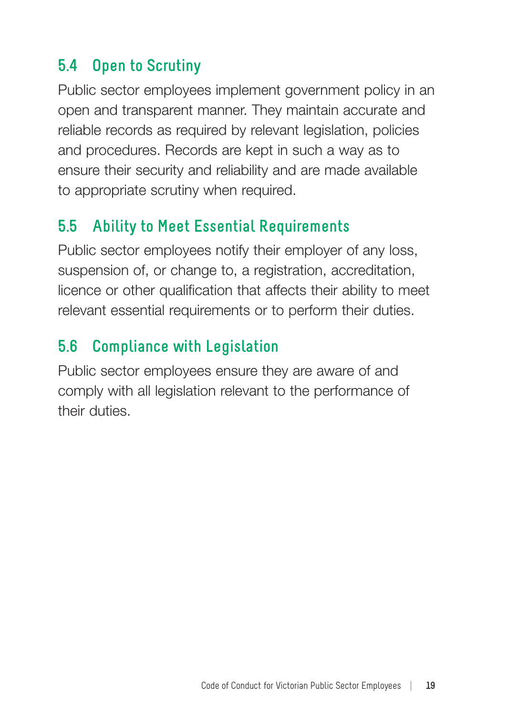### **5.4 Open to Scrutiny**

Public sector employees implement government policy in an open and transparent manner. They maintain accurate and reliable records as required by relevant legislation, policies and procedures. Records are kept in such a way as to ensure their security and reliability and are made available to appropriate scrutiny when required.

### **5.5 Ability to Meet Essential Requirements**

Public sector employees notify their employer of any loss, suspension of, or change to, a registration, accreditation, licence or other qualification that affects their ability to meet relevant essential requirements or to perform their duties.

### **5.6 Compliance with Legislation**

Public sector employees ensure they are aware of and comply with all legislation relevant to the performance of their duties.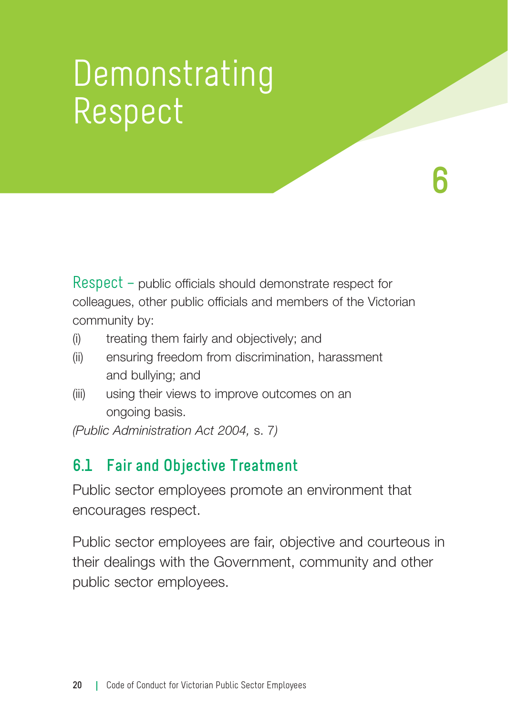### Demonstrating Respect

Respect – public officials should demonstrate respect for colleagues, other public officials and members of the Victorian community by:

**6**

- (i) treating them fairly and objectively; and
- (ii) ensuring freedom from discrimination, harassment and bullying; and
- (iii) using their views to improve outcomes on an ongoing basis.

*(Public Administration Act 2004,* s. 7*)*

#### **6.1 Fair and Objective Treatment**

Public sector employees promote an environment that encourages respect.

Public sector employees are fair, objective and courteous in their dealings with the Government, community and other public sector employees.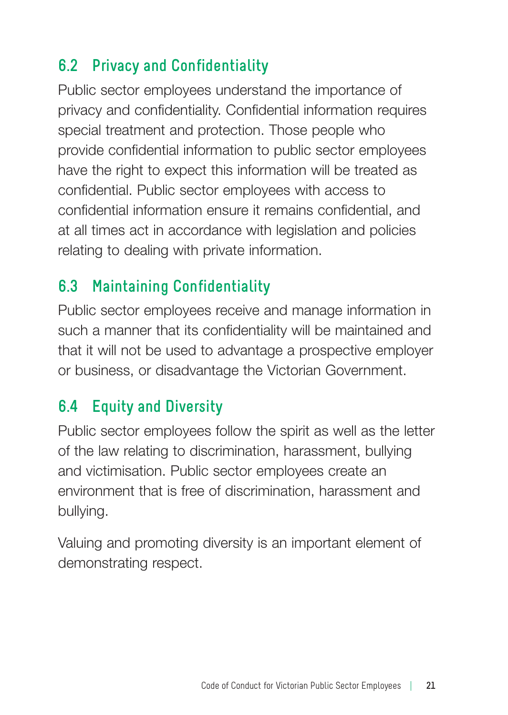### **6.2 Privacy and Confidentiality**

Public sector employees understand the importance of privacy and confidentiality. Confidential information requires special treatment and protection. Those people who provide confidential information to public sector employees have the right to expect this information will be treated as confidential. Public sector employees with access to confidential information ensure it remains confidential, and at all times act in accordance with legislation and policies relating to dealing with private information.

### **6.3 Maintaining Confidentiality**

Public sector employees receive and manage information in such a manner that its confidentiality will be maintained and that it will not be used to advantage a prospective employer or business, or disadvantage the Victorian Government.

### **6.4 Equity and Diversity**

Public sector employees follow the spirit as well as the letter of the law relating to discrimination, harassment, bullying and victimisation. Public sector employees create an environment that is free of discrimination, harassment and bullying.

Valuing and promoting diversity is an important element of demonstrating respect.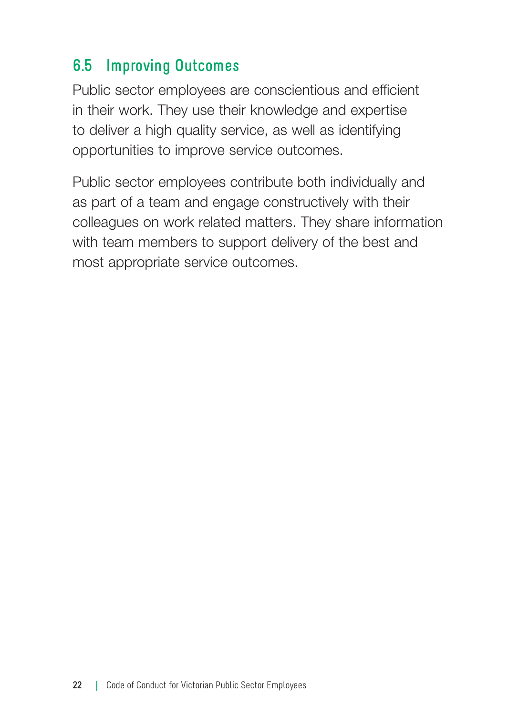### **6.5 Improving Outcomes**

Public sector employees are conscientious and efficient in their work. They use their knowledge and expertise to deliver a high quality service, as well as identifying opportunities to improve service outcomes.

Public sector employees contribute both individually and as part of a team and engage constructively with their colleagues on work related matters. They share information with team members to support delivery of the best and most appropriate service outcomes.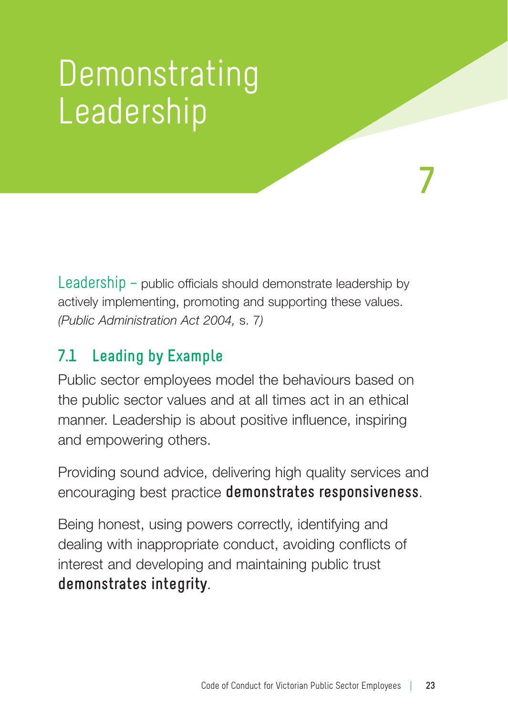### Demonstrating Leadership

Leadership – public officials should demonstrate leadership by actively implementing, promoting and supporting these values. *(Public Administration Act 2004,* s. 7*)*

### **7.1 Leading by Example**

Public sector employees model the behaviours based on the public sector values and at all times act in an ethical manner. Leadership is about positive influence, inspiring and empowering others.

Providing sound advice, delivering high quality services and encouraging best practice **demonstrates responsiveness**.

Being honest, using powers correctly, identifying and dealing with inappropriate conduct, avoiding conflicts of interest and developing and maintaining public trust **demonstrates integrity**.

**7**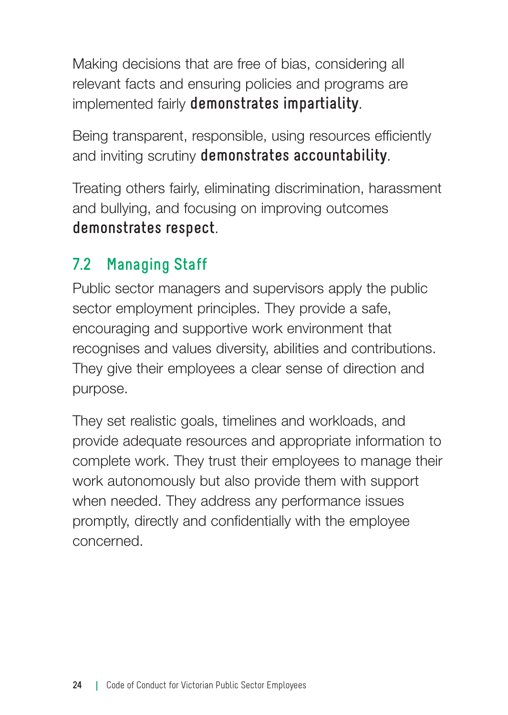Making decisions that are free of bias, considering all relevant facts and ensuring policies and programs are implemented fairly **demonstrates impartiality**.

Being transparent, responsible, using resources efficiently and inviting scrutiny **demonstrates accountability**.

Treating others fairly, eliminating discrimination, harassment and bullying, and focusing on improving outcomes **demonstrates respect**.

### **7.2 Managing Staff**

Public sector managers and supervisors apply the public sector employment principles. They provide a safe, encouraging and supportive work environment that recognises and values diversity, abilities and contributions. They give their employees a clear sense of direction and purpose.

They set realistic goals, timelines and workloads, and provide adequate resources and appropriate information to complete work. They trust their employees to manage their work autonomously but also provide them with support when needed. They address any performance issues promptly, directly and confidentially with the employee concerned.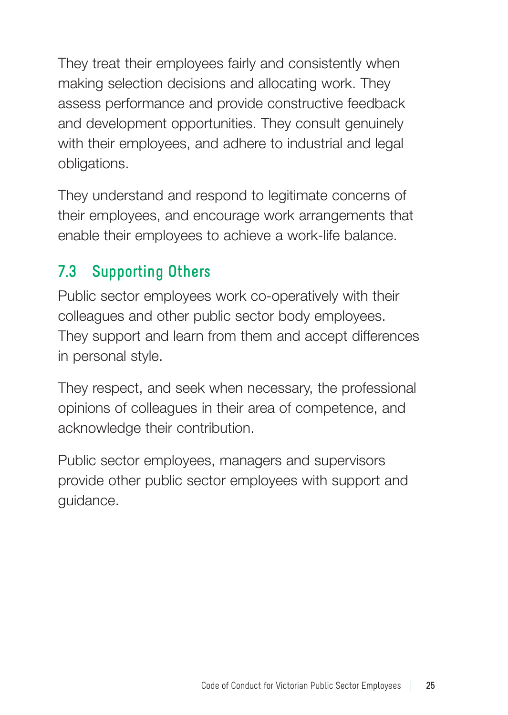They treat their employees fairly and consistently when making selection decisions and allocating work. They assess performance and provide constructive feedback and development opportunities. They consult genuinely with their employees, and adhere to industrial and legal obligations.

They understand and respond to legitimate concerns of their employees, and encourage work arrangements that enable their employees to achieve a work-life balance.

### **7.3 Supporting Others**

Public sector employees work co-operatively with their colleagues and other public sector body employees. They support and learn from them and accept differences in personal style.

They respect, and seek when necessary, the professional opinions of colleagues in their area of competence, and acknowledge their contribution.

Public sector employees, managers and supervisors provide other public sector employees with support and guidance.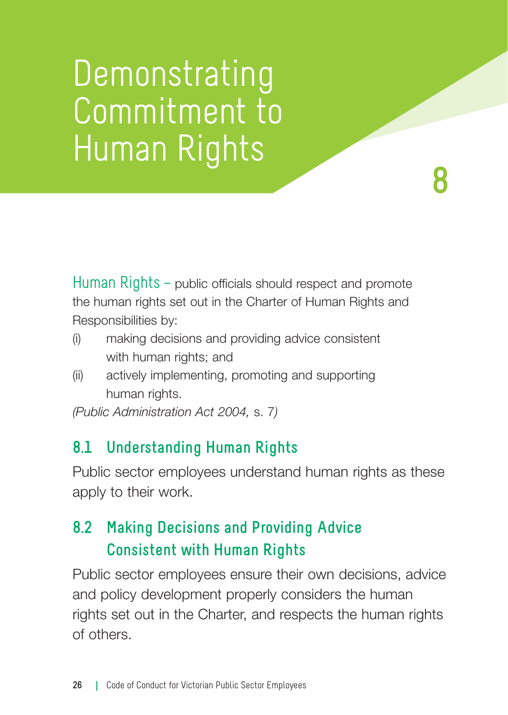### Demonstrating Commitment to Human Rights **8**

Human Rights – public officials should respect and promote the human rights set out in the Charter of Human Rights and Responsibilities by:

- (i) making decisions and providing advice consistent with human rights; and
- (ii) actively implementing, promoting and supporting human rights.

*(Public Administration Act 2004,* s. 7*)*

### **8.1 Understanding Human Rights**

Public sector employees understand human rights as these apply to their work.

### **8.2 Making Decisions and Providing Advice Consistent with Human Rights**

Public sector employees ensure their own decisions, advice and policy development properly considers the human rights set out in the Charter, and respects the human rights of others.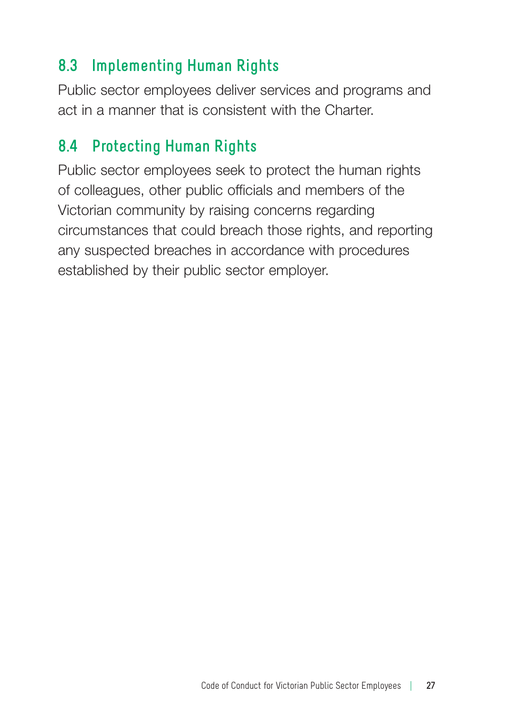### **8.3 Implementing Human Rights**

Public sector employees deliver services and programs and act in a manner that is consistent with the Charter.

### **8.4 Protecting Human Rights**

Public sector employees seek to protect the human rights of colleagues, other public officials and members of the Victorian community by raising concerns regarding circumstances that could breach those rights, and reporting any suspected breaches in accordance with procedures established by their public sector employer.